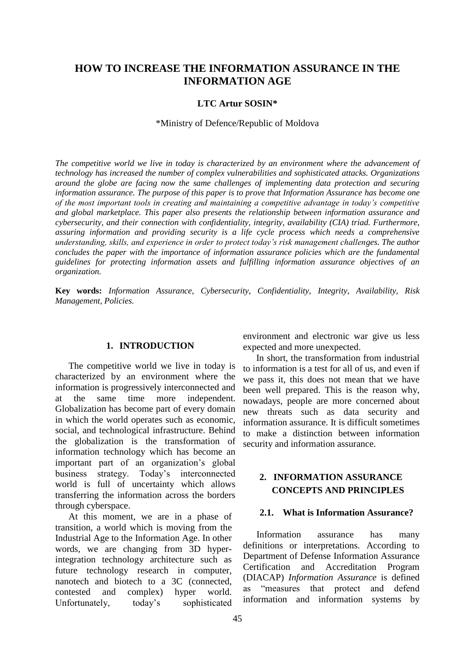# **HOW TO INCREASE THE INFORMATION ASSURANCE IN THE INFORMATION AGE**

### **LTC Artur SOSIN\***

#### \*Ministry of Defence/Republic of Moldova

*The competitive world we live in today is characterized by an environment where the advancement of technology has increased the number of complex vulnerabilities and sophisticated attacks. Organizations around the globe are facing now the same challenges of implementing data protection and securing information assurance. The purpose of this paper is to prove that Information Assurance has become one of the most important tools in creating and maintaining a competitive advantage in today's competitive and global marketplace. This paper also presents the relationship between information assurance and cybersecurity, and their connection with confidentiality, integrity, availability (CIA) triad. Furthermore, assuring information and providing security is a life cycle process which needs a comprehensive understanding, skills, and experience in order to protect today's risk management challenges. The author concludes the paper with the importance of information assurance policies which are the fundamental guidelines for protecting information assets and fulfilling information assurance objectives of an organization.*

**Key words:** *Information Assurance, Cybersecurity, Confidentiality, Integrity, Availability, Risk Management, Policies.*

### **1. INTRODUCTION**

The competitive world we live in today is characterized by an environment where the information is progressively interconnected and at the same time more independent. Globalization has become part of every domain in which the world operates such as economic, social, and technological infrastructure. Behind the globalization is the transformation of information technology which has become an important part of an organization's global business strategy. Today's interconnected world is full of uncertainty which allows transferring the information across the borders through cyberspace.

At this moment, we are in a phase of transition, a world which is moving from the Industrial Age to the Information Age. In other words, we are changing from 3D hyperintegration technology architecture such as future technology research in computer, nanotech and biotech to a 3C (connected, contested and complex) hyper world. Unfortunately, today's sophisticated

environment and electronic war give us less expected and more unexpected.

In short, the transformation from industrial to information is a test for all of us, and even if we pass it, this does not mean that we have been well prepared. This is the reason why, nowadays, people are more concerned about new threats such as data security and information assurance. It is difficult sometimes to make a distinction between information security and information assurance.

## **2. INFORMATION ASSURANCE CONCEPTS AND PRINCIPLES**

#### **2.1. What is Information Assurance?**

Information assurance has many definitions or interpretations. According to Department of Defense Information Assurance Certification and Accreditation Program (DIACAP) *Information Assurance* is defined as "measures that protect and defend information and information systems by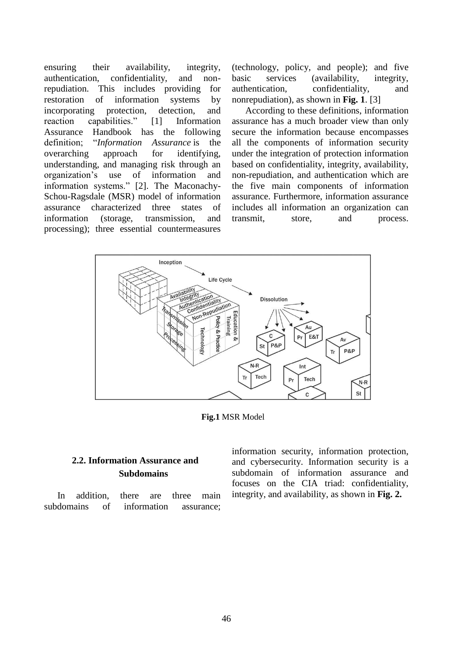ensuring their availability, integrity, authentication, confidentiality, and nonrepudiation. This includes providing for restoration of information systems by incorporating protection, detection, and reaction capabilities." [1] Information Assurance Handbook has the following definition; "*Information Assurance* is the overarching approach for identifying, understanding, and managing risk through an organization's use of information and information systems." [2]. The Maconachy-Schou-Ragsdale (MSR) model of information assurance characterized three states of information (storage, transmission, and processing); three essential countermeasures

(technology, policy, and people); and five basic services (availability, integrity, authentication, confidentiality, and nonrepudiation), as shown in **Fig. 1**. [3]

According to these definitions, information assurance has a much broader view than only secure the information because encompasses all the components of information security under the integration of protection information based on confidentiality, integrity, availability, non-repudiation, and authentication which are the five main components of information assurance. Furthermore, information assurance includes all information an organization can transmit, store, and process.



**Fig.1** MSR Model

# **2.2. Information Assurance and Subdomains**

In addition, there are three main subdomains of information assurance;

information security, information protection, and cybersecurity. Information security is a subdomain of information assurance and focuses on the CIA triad: confidentiality, integrity, and availability, as shown in **Fig. 2.**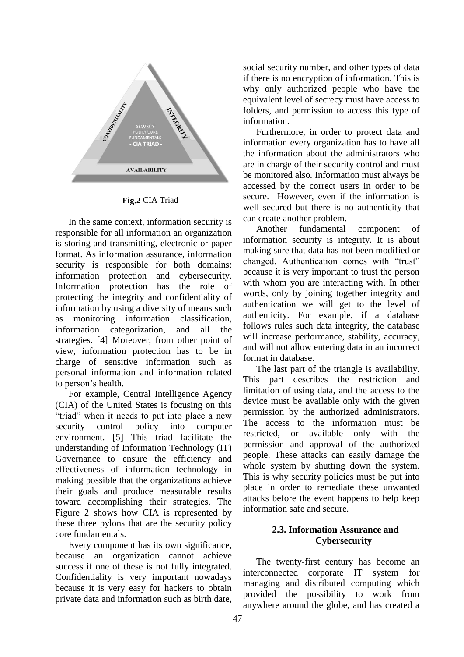

**Fig.2** CIA Triad

In the same context, information security is responsible for all information an organization is storing and transmitting, electronic or paper format. As information assurance, information security is responsible for both domains: information protection and cybersecurity. Information protection has the role of protecting the integrity and confidentiality of information by using a diversity of means such as monitoring information classification, information categorization, and all the strategies. [4] Moreover, from other point of view, information protection has to be in charge of sensitive information such as personal information and information related to person's health.

For example, Central Intelligence Agency (CIA) of the United States is focusing on this "triad" when it needs to put into place a new security control policy into computer environment. [5] This triad facilitate the understanding of Information Technology (IT) Governance to ensure the efficiency and effectiveness of information technology in making possible that the organizations achieve their goals and produce measurable results toward accomplishing their strategies. The Figure 2 shows how CIA is represented by these three pylons that are the security policy core fundamentals.

Every component has its own significance, because an organization cannot achieve success if one of these is not fully integrated. Confidentiality is very important nowadays because it is very easy for hackers to obtain private data and information such as birth date,

social security number, and other types of data if there is no encryption of information. This is why only authorized people who have the equivalent level of secrecy must have access to folders, and permission to access this type of information.

Furthermore, in order to protect data and information every organization has to have all the information about the administrators who are in charge of their security control and must be monitored also*.* Information must always be accessed by the correct users in order to be secure. However, even if the information is well secured but there is no authenticity that can create another problem.

Another fundamental component of information security is integrity. It is about making sure that data has not been modified or changed. Authentication comes with "trust" because it is very important to trust the person with whom you are interacting with. In other words, only by joining together integrity and authentication we will get to the level of authenticity. For example, if a database follows rules such data integrity, the database will increase performance, stability, accuracy, and will not allow entering data in an incorrect format in database.

The last part of the triangle is availability. This part describes the restriction and limitation of using data, and the access to the device must be available only with the given permission by the authorized administrators. The access to the information must be restricted, or available only with the permission and approval of the authorized people. These attacks can easily damage the whole system by shutting down the system. This is why security policies must be put into place in order to remediate these unwanted attacks before the event happens to help keep information safe and secure.

## **2.3. Information Assurance and Cybersecurity**

The twenty-first century has become an interconnected corporate IT system for managing and distributed computing which provided the possibility to work from anywhere around the globe, and has created a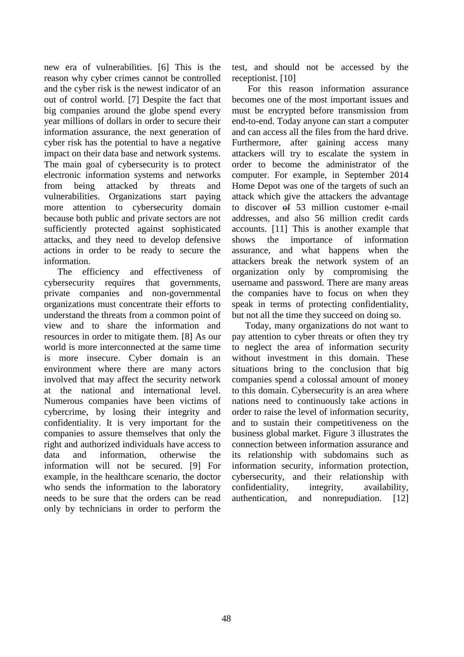new era of vulnerabilities. [6] This is the reason why cyber crimes cannot be controlled and the cyber risk is the newest indicator of an out of control world. [7] Despite the fact that big companies around the globe spend every year millions of dollars in order to secure their information assurance, the next generation of cyber risk has the potential to have a negative impact on their data base and network systems. The main goal of cybersecurity is to protect electronic information systems and networks from being attacked by threats and vulnerabilities. Organizations start paying more attention to cybersecurity domain because both public and private sectors are not sufficiently protected against sophisticated attacks, and they need to develop defensive actions in order to be ready to secure the information.

The efficiency and effectiveness of cybersecurity requires that governments, private companies and non-governmental organizations must concentrate their efforts to understand the threats from a common point of view and to share the information and resources in order to mitigate them. [8] As our world is more interconnected at the same time is more insecure. Cyber domain is an environment where there are many actors involved that may affect the security network at the national and international level. Numerous companies have been victims of cybercrime, by losing their integrity and confidentiality. It is very important for the companies to assure themselves that only the right and authorized individuals have access to data and information, otherwise the information will not be secured. [9] For example, in the healthcare scenario, the doctor who sends the information to the laboratory needs to be sure that the orders can be read only by technicians in order to perform the

test, and should not be accessed by the receptionist. [10]

For this reason information assurance becomes one of the most important issues and must be encrypted before transmission from end-to-end. Today anyone can start a computer and can access all the files from the hard drive. Furthermore, after gaining access many attackers will try to escalate the system in order to become the administrator of the computer. For example, in September 2014 Home Depot was one of the targets of such an attack which give the attackers the advantage to discover of 53 million customer e-mail addresses, and also 56 million credit cards accounts. [11] This is another example that shows the importance of information assurance, and what happens when the attackers break the network system of an organization only by compromising the username and password. There are many areas the companies have to focus on when they speak in terms of protecting confidentiality, but not all the time they succeed on doing so.

Today, many organizations do not want to pay attention to cyber threats or often they try to neglect the area of information security without investment in this domain. These situations bring to the conclusion that big companies spend a colossal amount of money to this domain. Cybersecurity is an area where nations need to continuously take actions in order to raise the level of information security, and to sustain their competitiveness on the business global market. Figure 3 illustrates the connection between information assurance and its relationship with subdomains such as information security, information protection, cybersecurity, and their relationship with confidentiality, integrity, availability, authentication, and nonrepudiation. [12]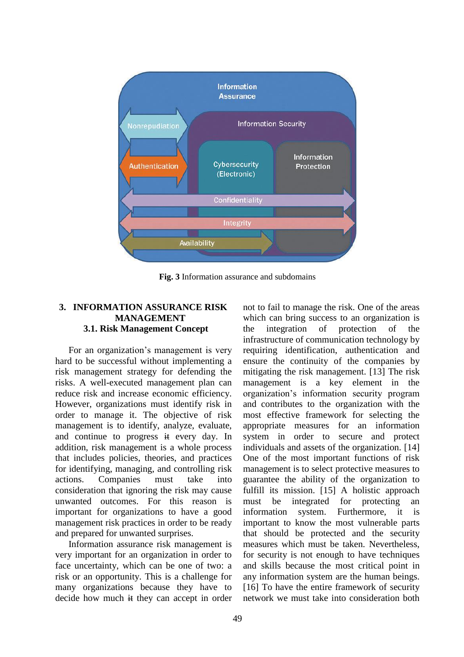

**Fig. 3** Information assurance and subdomains

## **3. INFORMATION ASSURANCE RISK MANAGEMENT 3.1. Risk Management Concept**

For an organization's management is very hard to be successful without implementing a risk management strategy for defending the risks. A well-executed management plan can reduce risk and increase economic efficiency. However, organizations must identify risk in order to manage it. The objective of risk management is to identify, analyze, evaluate, and continue to progress it every day. In addition, risk management is a whole process that includes policies, theories, and practices for identifying, managing, and controlling risk actions. Companies must take into consideration that ignoring the risk may cause unwanted outcomes. For this reason is important for organizations to have a good management risk practices in order to be ready and prepared for unwanted surprises.

Information assurance risk management is very important for an organization in order to face uncertainty, which can be one of two: a risk or an opportunity. This is a challenge for many organizations because they have to decide how much it they can accept in order not to fail to manage the risk. One of the areas which can bring success to an organization is the integration of protection of the infrastructure of communication technology by requiring identification, authentication and ensure the continuity of the companies by mitigating the risk management. [13] The risk management is a key element in the organization's information security program and contributes to the organization with the most effective framework for selecting the appropriate measures for an information system in order to secure and protect individuals and assets of the organization. [14] One of the most important functions of risk management is to select protective measures to guarantee the ability of the organization to fulfill its mission. [15] A holistic approach must be integrated for protecting an information system. Furthermore, it is important to know the most vulnerable parts that should be protected and the security measures which must be taken. Nevertheless, for security is not enough to have techniques and skills because the most critical point in any information system are the human beings. [16] To have the entire framework of security network we must take into consideration both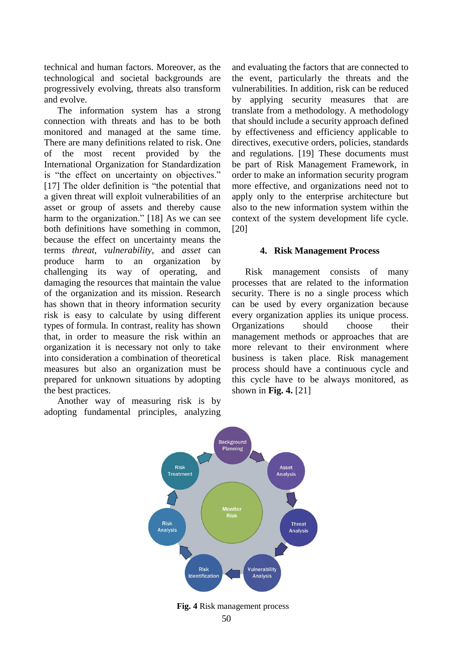technical and human factors. Moreover, as the technological and societal backgrounds are progressively evolving, threats also transform and evolve.

The information system has a strong connection with threats and has to be both monitored and managed at the same time. There are many definitions related to risk. One of the most recent provided by the International Organization for Standardization is "the effect on uncertainty on objectives." [17] The older definition is "the potential that a given threat will exploit vulnerabilities of an asset or group of assets and thereby cause harm to the organization." [18] As we can see both definitions have something in common, because the effect on uncertainty means the terms *threat*, *vulnerability*, and *asset* can produce harm to an organization by challenging its way of operating, and damaging the resources that maintain the value of the organization and its mission. Research has shown that in theory information security risk is easy to calculate by using different types of formula. In contrast, reality has shown that, in order to measure the risk within an organization it is necessary not only to take into consideration a combination of theoretical measures but also an organization must be prepared for unknown situations by adopting the best practices.

Another way of measuring risk is by adopting fundamental principles, analyzing and evaluating the factors that are connected to the event, particularly the threats and the vulnerabilities. In addition, risk can be reduced by applying security measures that are translate from a methodology. A methodology that should include a security approach defined by effectiveness and efficiency applicable to directives, executive orders, policies, standards and regulations. [19] These documents must be part of Risk Management Framework, in order to make an information security program more effective, and organizations need not to apply only to the enterprise architecture but also to the new information system within the context of the system development life cycle. [20]

#### **4. Risk Management Process**

Risk management consists of many processes that are related to the information security. There is no a single process which can be used by every organization because every organization applies its unique process. Organizations should choose their management methods or approaches that are more relevant to their environment where business is taken place. Risk management process should have a continuous cycle and this cycle have to be always monitored, as shown in **Fig. 4.** [21]

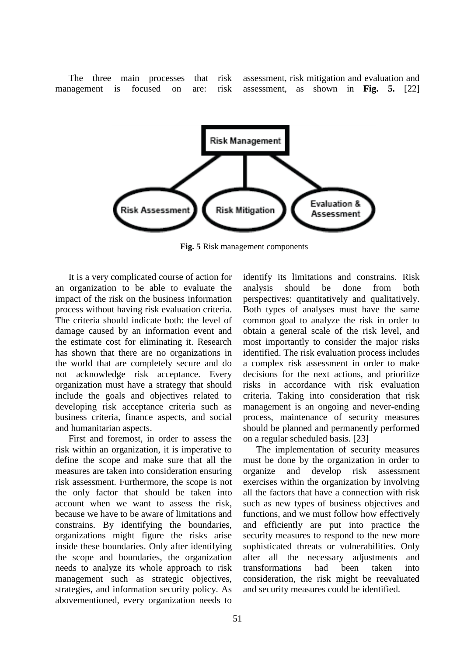The three main processes that risk management is focused on are: risk assessment, risk mitigation and evaluation and assessment, as shown in **Fig. 5.** [22]



**Fig. 5** Risk management components

It is a very complicated course of action for an organization to be able to evaluate the impact of the risk on the business information process without having risk evaluation criteria. The criteria should indicate both: the level of damage caused by an information event and the estimate cost for eliminating it. Research has shown that there are no organizations in the world that are completely secure and do not acknowledge risk acceptance. Every organization must have a strategy that should include the goals and objectives related to developing risk acceptance criteria such as business criteria, finance aspects, and social and humanitarian aspects.

First and foremost, in order to assess the risk within an organization, it is imperative to define the scope and make sure that all the measures are taken into consideration ensuring risk assessment. Furthermore, the scope is not the only factor that should be taken into account when we want to assess the risk, because we have to be aware of limitations and constrains. By identifying the boundaries, organizations might figure the risks arise inside these boundaries. Only after identifying the scope and boundaries, the organization needs to analyze its whole approach to risk management such as strategic objectives, strategies, and information security policy. As abovementioned, every organization needs to

identify its limitations and constrains. Risk analysis should be done from both perspectives: quantitatively and qualitatively. Both types of analyses must have the same common goal to analyze the risk in order to obtain a general scale of the risk level, and most importantly to consider the major risks identified. The risk evaluation process includes a complex risk assessment in order to make decisions for the next actions, and prioritize risks in accordance with risk evaluation criteria. Taking into consideration that risk management is an ongoing and never-ending process, maintenance of security measures should be planned and permanently performed on a regular scheduled basis. [23]

The implementation of security measures must be done by the organization in order to organize and develop risk assessment exercises within the organization by involving all the factors that have a connection with risk such as new types of business objectives and functions, and we must follow how effectively and efficiently are put into practice the security measures to respond to the new more sophisticated threats or vulnerabilities. Only after all the necessary adjustments and transformations had been taken into consideration, the risk might be reevaluated and security measures could be identified.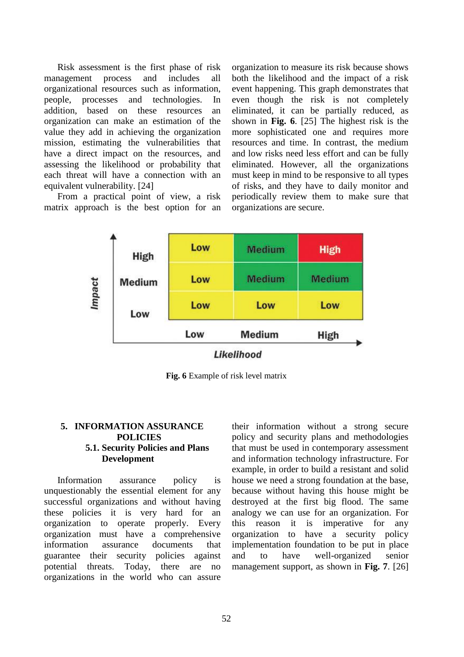Risk assessment is the first phase of risk management process and includes all organizational resources such as information, people, processes and technologies. In addition, based on these resources an organization can make an estimation of the value they add in achieving the organization mission, estimating the vulnerabilities that have a direct impact on the resources, and assessing the likelihood or probability that each threat will have a connection with an equivalent vulnerability. [24]

From a practical point of view, a risk matrix approach is the best option for an

organization to measure its risk because shows both the likelihood and the impact of a risk event happening. This graph demonstrates that even though the risk is not completely eliminated, it can be partially reduced, as shown in **Fig. 6**. [25] The highest risk is the more sophisticated one and requires more resources and time. In contrast, the medium and low risks need less effort and can be fully eliminated. However, all the organizations must keep in mind to be responsive to all types of risks, and they have to daily monitor and periodically review them to make sure that organizations are secure.



**Fig. 6** Example of risk level matrix

## **5. INFORMATION ASSURANCE POLICIES 5.1. Security Policies and Plans Development**

Information assurance policy is unquestionably the essential element for any successful organizations and without having these policies it is very hard for an organization to operate properly. Every organization must have a comprehensive information assurance documents that guarantee their security policies against potential threats. Today, there are no organizations in the world who can assure their information without a strong secure policy and security plans and methodologies that must be used in contemporary assessment and information technology infrastructure. For example, in order to build a resistant and solid house we need a strong foundation at the base, because without having this house might be destroyed at the first big flood. The same analogy we can use for an organization. For this reason it is imperative for any organization to have a security policy implementation foundation to be put in place and to have well-organized senior management support, as shown in **Fig. 7**. [26]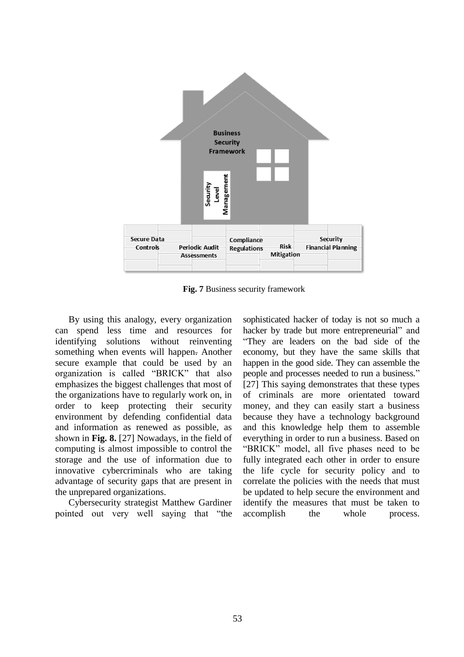

**Fig. 7** Business security framework

By using this analogy, every organization can spend less time and resources for identifying solutions without reinventing something when events will happen. Another secure example that could be used by an organization is called "BRICK" that also emphasizes the biggest challenges that most of the organizations have to regularly work on, in order to keep protecting their security environment by defending confidential data and information as renewed as possible, as shown in **Fig. 8.** [27] Nowadays, in the field of computing is almost impossible to control the storage and the use of information due to innovative cybercriminals who are taking advantage of security gaps that are present in the unprepared organizations.

Cybersecurity strategist Matthew Gardiner pointed out very well saying that "the sophisticated hacker of today is not so much a hacker by trade but more entrepreneurial" and "They are leaders on the bad side of the economy, but they have the same skills that happen in the good side. They can assemble the people and processes needed to run a business." [27] This saying demonstrates that these types of criminals are more orientated toward money, and they can easily start a business because they have a technology background and this knowledge help them to assemble everything in order to run a business. Based on "BRICK" model, all five phases need to be fully integrated each other in order to ensure the life cycle for security policy and to correlate the policies with the needs that must be updated to help secure the environment and identify the measures that must be taken to accomplish the whole process.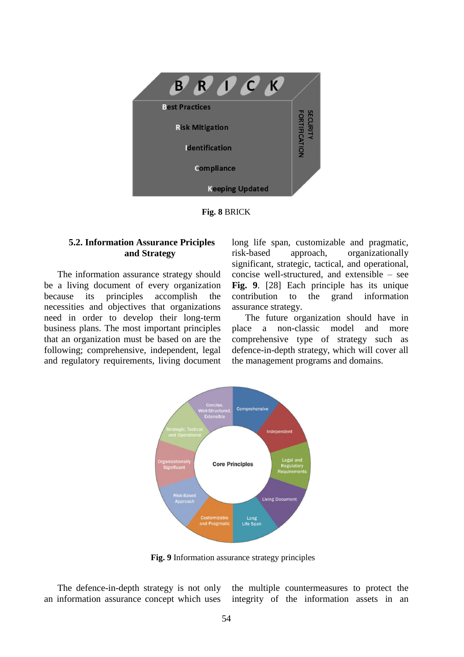

**Fig. 8** BRICK

## **5.2. Information Assurance Priciples and Strategy**

The information assurance strategy should be a living document of every organization because its principles accomplish the necessities and objectives that organizations need in order to develop their long-term business plans. The most important principles that an organization must be based on are the following; comprehensive, independent, legal and regulatory requirements, living document long life span, customizable and pragmatic, risk-based approach, organizationally significant, strategic, tactical, and operational, concise well-structured, and extensible – see **Fig. 9**. [28] Each principle has its unique contribution to the grand information assurance strategy.

The future organization should have in place a non-classic model and more comprehensive type of strategy such as defence-in-depth strategy, which will cover all the management programs and domains.



**Fig. 9** Information assurance strategy principles

The defence-in-depth strategy is not only an information assurance concept which uses the multiple countermeasures to protect the integrity of the information assets in an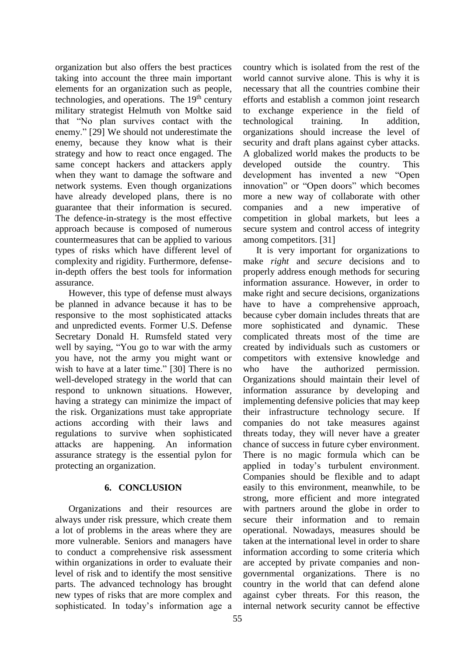organization but also offers the best practices taking into account the three main important elements for an organization such as people, technologies, and operations. The 19<sup>th</sup> century military strategist Helmuth von Moltke said that "No plan survives contact with the enemy." [29] We should not underestimate the enemy, because they know what is their strategy and how to react once engaged. The same concept hackers and attackers apply when they want to damage the software and network systems. Even though organizations have already developed plans, there is no guarantee that their information is secured. The defence-in-strategy is the most effective approach because is composed of numerous countermeasures that can be applied to various types of risks which have different level of complexity and rigidity. Furthermore, defensein-depth offers the best tools for information assurance.

However, this type of defense must always be planned in advance because it has to be responsive to the most sophisticated attacks and unpredicted events. Former U.S. Defense Secretary Donald H. Rumsfeld stated very well by saying, "You go to war with the army you have, not the army you might want or wish to have at a later time." [30] There is no well-developed strategy in the world that can respond to unknown situations. However, having a strategy can minimize the impact of the risk. Organizations must take appropriate actions according with their laws and regulations to survive when sophisticated attacks are happening. An information assurance strategy is the essential pylon for protecting an organization.

## **6. CONCLUSION**

Organizations and their resources are always under risk pressure, which create them a lot of problems in the areas where they are more vulnerable. Seniors and managers have to conduct a comprehensive risk assessment within organizations in order to evaluate their level of risk and to identify the most sensitive parts. The advanced technology has brought new types of risks that are more complex and sophisticated. In today's information age a

country which is isolated from the rest of the world cannot survive alone. This is why it is necessary that all the countries combine their efforts and establish a common joint research to exchange experience in the field of technological training. In addition, organizations should increase the level of security and draft plans against cyber attacks. A globalized world makes the products to be developed outside the country. This development has invented a new "Open innovation" or "Open doors" which becomes more a new way of collaborate with other companies and a new imperative of competition in global markets, but lees a secure system and control access of integrity among competitors. [31]

It is very important for organizations to make *right* and *secure* decisions and to properly address enough methods for securing information assurance. However, in order to make right and secure decisions, organizations have to have a comprehensive approach, because cyber domain includes threats that are more sophisticated and dynamic. These complicated threats most of the time are created by individuals such as customers or competitors with extensive knowledge and who have the authorized permission. Organizations should maintain their level of information assurance by developing and implementing defensive policies that may keep their infrastructure technology secure. If companies do not take measures against threats today, they will never have a greater chance of success in future cyber environment. There is no magic formula which can be applied in today's turbulent environment. Companies should be flexible and to adapt easily to this environment, meanwhile, to be strong, more efficient and more integrated with partners around the globe in order to secure their information and to remain operational. Nowadays, measures should be taken at the international level in order to share information according to some criteria which are accepted by private companies and nongovernmental organizations. There is no country in the world that can defend alone against cyber threats. For this reason, the internal network security cannot be effective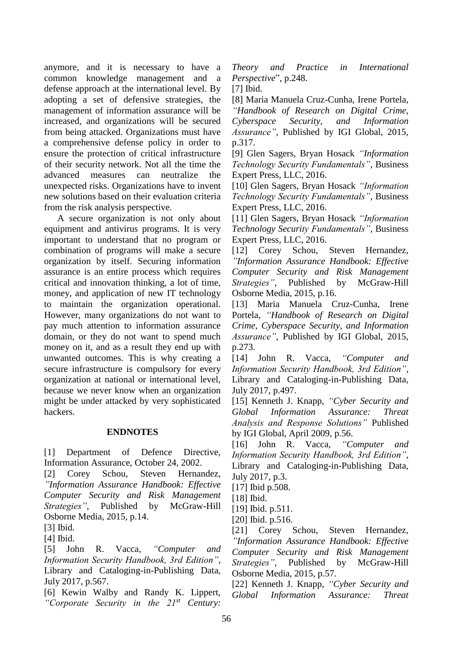anymore, and it is necessary to have a common knowledge management and a defense approach at the international level. By adopting a set of defensive strategies, the management of information assurance will be increased, and organizations will be secured from being attacked. Organizations must have a comprehensive defense policy in order to ensure the protection of critical infrastructure of their security network. Not all the time the advanced measures can neutralize the unexpected risks. Organizations have to invent new solutions based on their evaluation criteria from the risk analysis perspective.

A secure organization is not only about equipment and antivirus programs. It is very important to understand that no program or combination of programs will make a secure organization by itself. Securing information assurance is an entire process which requires critical and innovation thinking, a lot of time, money, and application of new IT technology to maintain the organization operational. However, many organizations do not want to pay much attention to information assurance domain, or they do not want to spend much money on it, and as a result they end up with unwanted outcomes. This is why creating a secure infrastructure is compulsory for every organization at national or international level, because we never know when an organization might be under attacked by very sophisticated hackers.

#### **ENDNOTES**

[1] Department of Defence Directive, Information Assurance, October 24, 2002.

[2] Corey Schou, Steven Hernandez, *"Information Assurance Handbook: Effective Computer Security and Risk Management Strategies"*, Published by [McGraw-Hill](https://www.safaribooksonline.com/library/publisher/mcgraw-hill-osborne-media/)  [Osborne Media,](https://www.safaribooksonline.com/library/publisher/mcgraw-hill-osborne-media/) 2015, p.14.

[3] Ibid.

[4] Ibid.

[5] John R. Vacca, *"Computer and Information Security Handbook, 3rd Edition"*, Library and Cataloging-in-Publishing Data, July 2017, p.567.

[6] Kewin Walby and Randy K. Lippert, *"Corporate Security in the 21st Century:*  *Theory and Practice in International Perspective*", p.248.

[7] Ibid.

[8] Maria Manuela Cruz-Cunha, Irene Portela, *"Handbook of Research on Digital Crime, Cyberspace Security, and Information Assurance"*, Published by IGI Global, 2015, p.317.

[9] Glen Sagers, Bryan Hosack *"Information Technology Security Fundamentals"*, Business Expert Press, LLC, 2016.

[10] Glen Sagers, Bryan Hosack *"Information Technology Security Fundamentals"*, Business Expert Press, LLC, 2016.

[11] Glen Sagers, Bryan Hosack *"Information Technology Security Fundamentals"*, Business Expert Press, LLC, 2016.

[12] Corey Schou, Steven Hernandez, *"Information Assurance Handbook: Effective Computer Security and Risk Management Strategies"*, Published by [McGraw-Hill](https://www.safaribooksonline.com/library/publisher/mcgraw-hill-osborne-media/)  [Osborne Media,](https://www.safaribooksonline.com/library/publisher/mcgraw-hill-osborne-media/) 2015, p.16.

[13] Maria Manuela Cruz-Cunha, Irene Portela, *"Handbook of Research on Digital Crime, Cyberspace Security, and Information Assurance"*, Published by IGI Global, 2015, p.273.

[14] John R. Vacca, *"Computer and Information Security Handbook, 3rd Edition"*, Library and Cataloging-in-Publishing Data, July 2017, p.497.

[15] [Kenneth J. Knapp,](https://www.safaribooksonline.com/search/?query=author%3A%22Kenneth%20J.%20Knapp%22&sort=relevance&highlight=true) *"Cyber Security and Global Information Assurance: Threat Analysis and Response Solutions"* Published by IGI Global, April 2009, p.56.

[16] John R. Vacca, *"Computer and Information Security Handbook, 3rd Edition"*, Library and Cataloging-in-Publishing Data, July 2017, p.3.

[17] Ibid p.508.

[18] Ibid.

[19] Ibid. p.511.

[20] Ibid. p.516.

[21] Corey Schou, Steven Hernandez, *"Information Assurance Handbook: Effective Computer Security and Risk Management Strategies"*, Published by [McGraw-Hill](https://www.safaribooksonline.com/library/publisher/mcgraw-hill-osborne-media/)  [Osborne Media,](https://www.safaribooksonline.com/library/publisher/mcgraw-hill-osborne-media/) 2015, p.57.

[22] [Kenneth J. Knapp,](https://www.safaribooksonline.com/search/?query=author%3A%22Kenneth%20J.%20Knapp%22&sort=relevance&highlight=true) *"Cyber Security and Global Information Assurance: Threat*